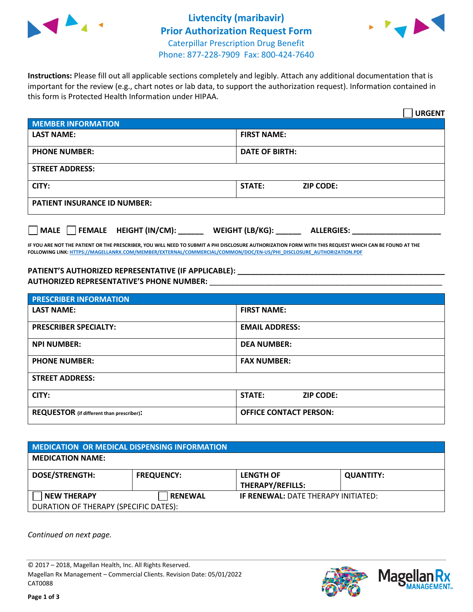



**Instructions:** Please fill out all applicable sections completely and legibly. Attach any additional documentation that is important for the review (e.g., chart notes or lab data, to support the authorization request). Information contained in this form is Protected Health Information under HIPAA.

|                                                                                 | <b>URGENT</b>                          |  |  |  |
|---------------------------------------------------------------------------------|----------------------------------------|--|--|--|
| <b>MEMBER INFORMATION</b>                                                       |                                        |  |  |  |
| <b>LAST NAME:</b>                                                               | <b>FIRST NAME:</b>                     |  |  |  |
| <b>PHONE NUMBER:</b>                                                            | <b>DATE OF BIRTH:</b>                  |  |  |  |
| <b>STREET ADDRESS:</b>                                                          |                                        |  |  |  |
| CITY:                                                                           | <b>STATE:</b><br><b>ZIP CODE:</b>      |  |  |  |
| <b>PATIENT INSURANCE ID NUMBER:</b>                                             |                                        |  |  |  |
| $\overline{\phantom{a}}$ MALE $\overline{\phantom{a}}$ FEMALE HEIGHT (IN/CM): _ | WEIGHT (LB/KG): _<br><b>ALLERGIES:</b> |  |  |  |

**IF YOU ARE NOT THE PATIENT OR THE PRESCRIBER, YOU WILL NEED TO SUBMIT A PHI DISCLOSURE AUTHORIZATION FORM WITH THIS REQUEST WHICH CAN BE FOUND AT THE FOLLOWING LINK[: HTTPS://MAGELLANRX.COM/MEMBER/EXTERNAL/COMMERCIAL/COMMON/DOC/EN-US/PHI\\_DISCLOSURE\\_AUTHORIZATION.PDF](https://magellanrx.com/member/external/commercial/common/doc/en-us/PHI_Disclosure_Authorization.pdf)**

**PATIENT'S AUTHORIZED REPRESENTATIVE (IF APPLICABLE): \_\_\_\_\_\_\_\_\_\_\_\_\_\_\_\_\_\_\_\_\_\_\_\_\_\_\_\_\_\_\_\_\_\_\_\_\_\_\_\_\_\_\_\_\_\_\_\_\_ AUTHORIZED REPRESENTATIVE'S PHONE NUMBER:** \_\_\_\_\_\_\_\_\_\_\_\_\_\_\_\_\_\_\_\_\_\_\_\_\_\_\_\_\_\_\_\_\_\_\_\_\_\_\_\_\_\_\_\_\_\_\_\_\_\_\_\_\_\_\_

| <b>PRESCRIBER INFORMATION</b>             |                               |  |  |  |
|-------------------------------------------|-------------------------------|--|--|--|
| <b>LAST NAME:</b>                         | <b>FIRST NAME:</b>            |  |  |  |
| <b>PRESCRIBER SPECIALTY:</b>              | <b>EMAIL ADDRESS:</b>         |  |  |  |
| <b>NPI NUMBER:</b>                        | <b>DEA NUMBER:</b>            |  |  |  |
| <b>PHONE NUMBER:</b>                      | <b>FAX NUMBER:</b>            |  |  |  |
| <b>STREET ADDRESS:</b>                    |                               |  |  |  |
| CITY:                                     | STATE:<br><b>ZIP CODE:</b>    |  |  |  |
| REQUESTOR (if different than prescriber): | <b>OFFICE CONTACT PERSON:</b> |  |  |  |

| <b>MEDICATION OR MEDICAL DISPENSING INFORMATION</b> |                   |                                            |                  |  |  |
|-----------------------------------------------------|-------------------|--------------------------------------------|------------------|--|--|
| <b>MEDICATION NAME:</b>                             |                   |                                            |                  |  |  |
| DOSE/STRENGTH:                                      | <b>FREQUENCY:</b> | <b>LENGTH OF</b><br>THERAPY/REFILLS:       | <b>QUANTITY:</b> |  |  |
| <b>NEW THERAPY</b>                                  | <b>RENEWAL</b>    | <b>IF RENEWAL: DATE THERAPY INITIATED:</b> |                  |  |  |
| DURATION OF THERAPY (SPECIFIC DATES):               |                   |                                            |                  |  |  |

*Continued on next page.*

© 2017 – 2018, Magellan Health, Inc. All Rights Reserved. Magellan Rx Management – Commercial Clients. Revision Date: 05/01/2022 CAT0088



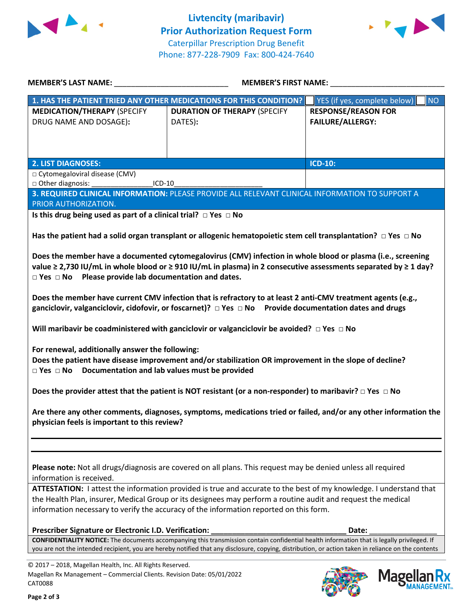



| <b>MEMBER'S LAST NAME:</b> NAME                                                                                                                                                                                                                                                                    | <b>MEMBER'S FIRST NAME:</b>                                                                                             |                                           |  |  |
|----------------------------------------------------------------------------------------------------------------------------------------------------------------------------------------------------------------------------------------------------------------------------------------------------|-------------------------------------------------------------------------------------------------------------------------|-------------------------------------------|--|--|
|                                                                                                                                                                                                                                                                                                    | 1. HAS THE PATIENT TRIED ANY OTHER MEDICATIONS FOR THIS CONDITION?                                                      | YES (if yes, complete below)<br><b>NO</b> |  |  |
| <b>MEDICATION/THERAPY (SPECIFY</b>                                                                                                                                                                                                                                                                 | <b>DURATION OF THERAPY (SPECIFY</b>                                                                                     | <b>RESPONSE/REASON FOR</b>                |  |  |
| DRUG NAME AND DOSAGE):                                                                                                                                                                                                                                                                             | DATES):                                                                                                                 | <b>FAILURE/ALLERGY:</b>                   |  |  |
|                                                                                                                                                                                                                                                                                                    |                                                                                                                         |                                           |  |  |
|                                                                                                                                                                                                                                                                                                    |                                                                                                                         |                                           |  |  |
| <b>2. LIST DIAGNOSES:</b>                                                                                                                                                                                                                                                                          |                                                                                                                         | <b>ICD-10:</b>                            |  |  |
| □ Cytomegaloviral disease (CMV)                                                                                                                                                                                                                                                                    |                                                                                                                         |                                           |  |  |
| □ Other diagnosis:<br>$ICD-10$                                                                                                                                                                                                                                                                     |                                                                                                                         |                                           |  |  |
|                                                                                                                                                                                                                                                                                                    | 3. REQUIRED CLINICAL INFORMATION: PLEASE PROVIDE ALL RELEVANT CLINICAL INFORMATION TO SUPPORT A                         |                                           |  |  |
| PRIOR AUTHORIZATION.                                                                                                                                                                                                                                                                               |                                                                                                                         |                                           |  |  |
| Is this drug being used as part of a clinical trial? $\Box$ Yes $\Box$ No                                                                                                                                                                                                                          |                                                                                                                         |                                           |  |  |
|                                                                                                                                                                                                                                                                                                    |                                                                                                                         |                                           |  |  |
|                                                                                                                                                                                                                                                                                                    | Has the patient had a solid organ transplant or allogenic hematopoietic stem cell transplantation? $\Box$ Yes $\Box$ No |                                           |  |  |
|                                                                                                                                                                                                                                                                                                    | Does the member have a documented cytomegalovirus (CMV) infection in whole blood or plasma (i.e., screening             |                                           |  |  |
|                                                                                                                                                                                                                                                                                                    | value ≥ 2,730 IU/mL in whole blood or ≥ 910 IU/mL in plasma) in 2 consecutive assessments separated by ≥ 1 day?         |                                           |  |  |
| $\Box$ Yes $\Box$ No Please provide lab documentation and dates.                                                                                                                                                                                                                                   |                                                                                                                         |                                           |  |  |
|                                                                                                                                                                                                                                                                                                    |                                                                                                                         |                                           |  |  |
|                                                                                                                                                                                                                                                                                                    | Does the member have current CMV infection that is refractory to at least 2 anti-CMV treatment agents (e.g.,            |                                           |  |  |
|                                                                                                                                                                                                                                                                                                    | ganciclovir, valganciclovir, cidofovir, or foscarnet)? $\Box$ Yes $\Box$ No Provide documentation dates and drugs       |                                           |  |  |
|                                                                                                                                                                                                                                                                                                    |                                                                                                                         |                                           |  |  |
|                                                                                                                                                                                                                                                                                                    | Will maribavir be coadministered with ganciclovir or valganciclovir be avoided? $\Box$ Yes $\Box$ No                    |                                           |  |  |
| For renewal, additionally answer the following:                                                                                                                                                                                                                                                    |                                                                                                                         |                                           |  |  |
|                                                                                                                                                                                                                                                                                                    | Does the patient have disease improvement and/or stabilization OR improvement in the slope of decline?                  |                                           |  |  |
| $\Box$ Yes $\Box$ No Documentation and lab values must be provided                                                                                                                                                                                                                                 |                                                                                                                         |                                           |  |  |
|                                                                                                                                                                                                                                                                                                    |                                                                                                                         |                                           |  |  |
|                                                                                                                                                                                                                                                                                                    | Does the provider attest that the patient is NOT resistant (or a non-responder) to maribavir? $\Box$ Yes $\Box$ No      |                                           |  |  |
|                                                                                                                                                                                                                                                                                                    |                                                                                                                         |                                           |  |  |
| Are there any other comments, diagnoses, symptoms, medications tried or failed, and/or any other information the                                                                                                                                                                                   |                                                                                                                         |                                           |  |  |
| physician feels is important to this review?                                                                                                                                                                                                                                                       |                                                                                                                         |                                           |  |  |
|                                                                                                                                                                                                                                                                                                    |                                                                                                                         |                                           |  |  |
|                                                                                                                                                                                                                                                                                                    |                                                                                                                         |                                           |  |  |
|                                                                                                                                                                                                                                                                                                    |                                                                                                                         |                                           |  |  |
| Please note: Not all drugs/diagnosis are covered on all plans. This request may be denied unless all required<br>information is received.                                                                                                                                                          |                                                                                                                         |                                           |  |  |
| ATTESTATION: I attest the information provided is true and accurate to the best of my knowledge. I understand that                                                                                                                                                                                 |                                                                                                                         |                                           |  |  |
| the Health Plan, insurer, Medical Group or its designees may perform a routine audit and request the medical                                                                                                                                                                                       |                                                                                                                         |                                           |  |  |
| information necessary to verify the accuracy of the information reported on this form.                                                                                                                                                                                                             |                                                                                                                         |                                           |  |  |
|                                                                                                                                                                                                                                                                                                    |                                                                                                                         |                                           |  |  |
| Prescriber Signature or Electronic I.D. Verification:<br>Date:                                                                                                                                                                                                                                     |                                                                                                                         |                                           |  |  |
| CONFIDENTIALITY NOTICE: The documents accompanying this transmission contain confidential health information that is legally privileged. If<br>you are not the intended recipient, you are hereby notified that any disclosure, copying, distribution, or action taken in reliance on the contents |                                                                                                                         |                                           |  |  |
|                                                                                                                                                                                                                                                                                                    |                                                                                                                         |                                           |  |  |
| © 2017 - 2018, Magellan Health, Inc. All Rights Reserved.                                                                                                                                                                                                                                          |                                                                                                                         |                                           |  |  |

Magellan Rx Management – Commercial Clients. Revision Date: 05/01/2022 CAT0088



Mage

**lan Rx**<br>NAGEMENT...